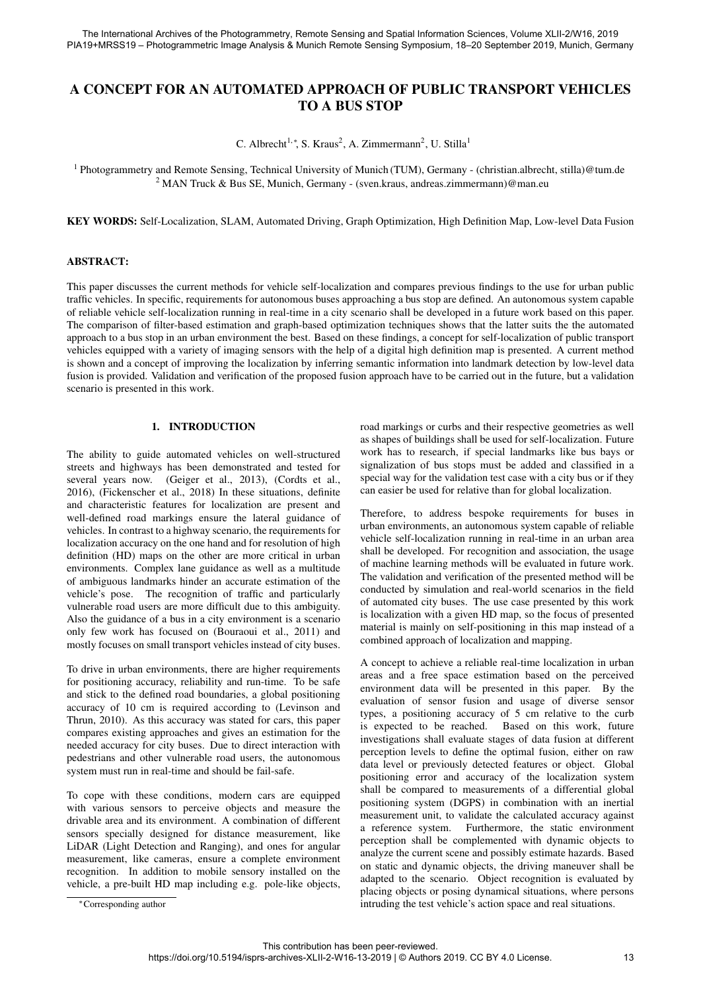# A CONCEPT FOR AN AUTOMATED APPROACH OF PUBLIC TRANSPORT VEHICLES TO A BUS STOP

C. Albrecht<sup>1,\*</sup>, S. Kraus<sup>2</sup>, A. Zimmermann<sup>2</sup>, U. Stilla<sup>1</sup>

<sup>1</sup> Photogrammetry and Remote Sensing, Technical University of Munich (TUM), Germany - (christian.albrecht, stilla)@tum.de <sup>2</sup> MAN Truck & Bus SE, Munich, Germany - (sven.kraus, andreas.zimmermann)@man.eu

KEY WORDS: Self-Localization, SLAM, Automated Driving, Graph Optimization, High Definition Map, Low-level Data Fusion

### ABSTRACT:

This paper discusses the current methods for vehicle self-localization and compares previous findings to the use for urban public traffic vehicles. In specific, requirements for autonomous buses approaching a bus stop are defined. An autonomous system capable of reliable vehicle self-localization running in real-time in a city scenario shall be developed in a future work based on this paper. The comparison of filter-based estimation and graph-based optimization techniques shows that the latter suits the the automated approach to a bus stop in an urban environment the best. Based on these findings, a concept for self-localization of public transport vehicles equipped with a variety of imaging sensors with the help of a digital high definition map is presented. A current method is shown and a concept of improving the localization by inferring semantic information into landmark detection by low-level data fusion is provided. Validation and verification of the proposed fusion approach have to be carried out in the future, but a validation scenario is presented in this work.

## 1. INTRODUCTION

The ability to guide automated vehicles on well-structured streets and highways has been demonstrated and tested for several years now. (Geiger et al., 2013), (Cordts et al., 2016), (Fickenscher et al., 2018) In these situations, definite and characteristic features for localization are present and well-defined road markings ensure the lateral guidance of vehicles. In contrast to a highway scenario, the requirements for localization accuracy on the one hand and for resolution of high definition (HD) maps on the other are more critical in urban environments. Complex lane guidance as well as a multitude of ambiguous landmarks hinder an accurate estimation of the vehicle's pose. The recognition of traffic and particularly vulnerable road users are more difficult due to this ambiguity. Also the guidance of a bus in a city environment is a scenario only few work has focused on (Bouraoui et al., 2011) and mostly focuses on small transport vehicles instead of city buses.

To drive in urban environments, there are higher requirements for positioning accuracy, reliability and run-time. To be safe and stick to the defined road boundaries, a global positioning accuracy of 10 cm is required according to (Levinson and Thrun, 2010). As this accuracy was stated for cars, this paper compares existing approaches and gives an estimation for the needed accuracy for city buses. Due to direct interaction with pedestrians and other vulnerable road users, the autonomous system must run in real-time and should be fail-safe.

To cope with these conditions, modern cars are equipped with various sensors to perceive objects and measure the drivable area and its environment. A combination of different sensors specially designed for distance measurement, like LiDAR (Light Detection and Ranging), and ones for angular measurement, like cameras, ensure a complete environment recognition. In addition to mobile sensory installed on the vehicle, a pre-built HD map including e.g. pole-like objects,

<sup>∗</sup>Corresponding author

road markings or curbs and their respective geometries as well as shapes of buildings shall be used for self-localization. Future work has to research, if special landmarks like bus bays or signalization of bus stops must be added and classified in a special way for the validation test case with a city bus or if they can easier be used for relative than for global localization.

Therefore, to address bespoke requirements for buses in urban environments, an autonomous system capable of reliable vehicle self-localization running in real-time in an urban area shall be developed. For recognition and association, the usage of machine learning methods will be evaluated in future work. The validation and verification of the presented method will be conducted by simulation and real-world scenarios in the field of automated city buses. The use case presented by this work is localization with a given HD map, so the focus of presented material is mainly on self-positioning in this map instead of a combined approach of localization and mapping.

A concept to achieve a reliable real-time localization in urban areas and a free space estimation based on the perceived environment data will be presented in this paper. By the evaluation of sensor fusion and usage of diverse sensor types, a positioning accuracy of 5 cm relative to the curb is expected to be reached. Based on this work, future investigations shall evaluate stages of data fusion at different perception levels to define the optimal fusion, either on raw data level or previously detected features or object. Global positioning error and accuracy of the localization system shall be compared to measurements of a differential global positioning system (DGPS) in combination with an inertial measurement unit, to validate the calculated accuracy against a reference system. Furthermore, the static environment perception shall be complemented with dynamic objects to analyze the current scene and possibly estimate hazards. Based on static and dynamic objects, the driving maneuver shall be adapted to the scenario. Object recognition is evaluated by placing objects or posing dynamical situations, where persons intruding the test vehicle's action space and real situations.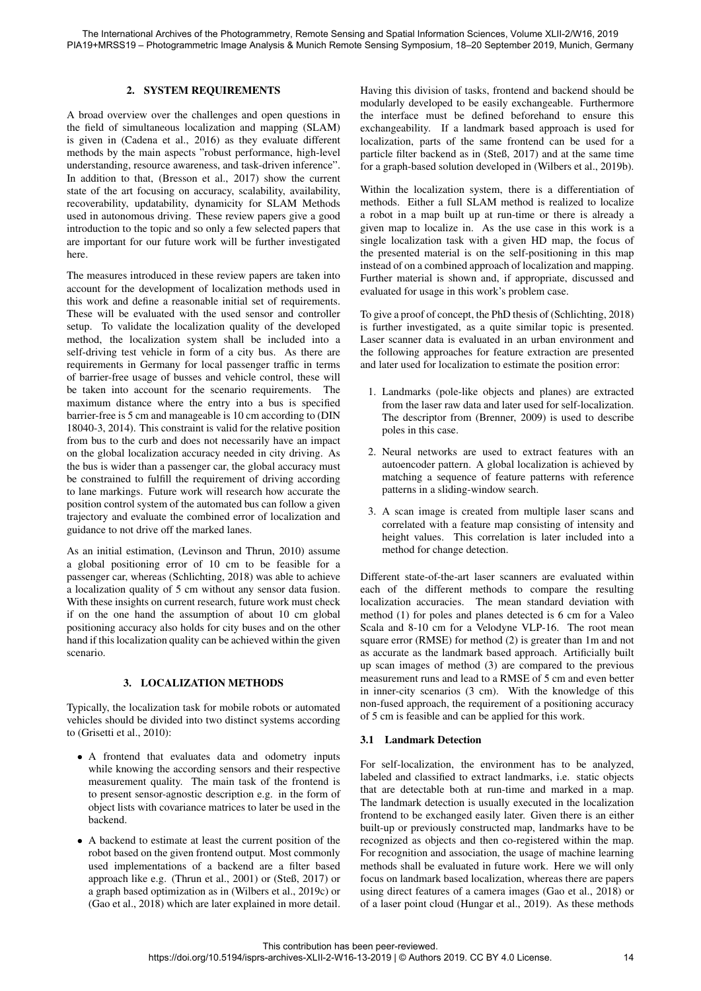## 2. SYSTEM REQUIREMENTS

A broad overview over the challenges and open questions in the field of simultaneous localization and mapping (SLAM) is given in (Cadena et al., 2016) as they evaluate different methods by the main aspects "robust performance, high-level understanding, resource awareness, and task-driven inference". In addition to that, (Bresson et al., 2017) show the current state of the art focusing on accuracy, scalability, availability, recoverability, updatability, dynamicity for SLAM Methods used in autonomous driving. These review papers give a good introduction to the topic and so only a few selected papers that are important for our future work will be further investigated here.

The measures introduced in these review papers are taken into account for the development of localization methods used in this work and define a reasonable initial set of requirements. These will be evaluated with the used sensor and controller setup. To validate the localization quality of the developed method, the localization system shall be included into a self-driving test vehicle in form of a city bus. As there are requirements in Germany for local passenger traffic in terms of barrier-free usage of busses and vehicle control, these will be taken into account for the scenario requirements. The maximum distance where the entry into a bus is specified barrier-free is 5 cm and manageable is 10 cm according to (DIN 18040-3, 2014). This constraint is valid for the relative position from bus to the curb and does not necessarily have an impact on the global localization accuracy needed in city driving. As the bus is wider than a passenger car, the global accuracy must be constrained to fulfill the requirement of driving according to lane markings. Future work will research how accurate the position control system of the automated bus can follow a given trajectory and evaluate the combined error of localization and guidance to not drive off the marked lanes.

As an initial estimation, (Levinson and Thrun, 2010) assume a global positioning error of 10 cm to be feasible for a passenger car, whereas (Schlichting, 2018) was able to achieve a localization quality of 5 cm without any sensor data fusion. With these insights on current research, future work must check if on the one hand the assumption of about 10 cm global positioning accuracy also holds for city buses and on the other hand if this localization quality can be achieved within the given scenario.

## 3. LOCALIZATION METHODS

Typically, the localization task for mobile robots or automated vehicles should be divided into two distinct systems according to (Grisetti et al., 2010):

- A frontend that evaluates data and odometry inputs while knowing the according sensors and their respective measurement quality. The main task of the frontend is to present sensor-agnostic description e.g. in the form of object lists with covariance matrices to later be used in the backend.
- A backend to estimate at least the current position of the robot based on the given frontend output. Most commonly used implementations of a backend are a filter based approach like e.g. (Thrun et al., 2001) or (Steß, 2017) or a graph based optimization as in (Wilbers et al., 2019c) or (Gao et al., 2018) which are later explained in more detail.

Having this division of tasks, frontend and backend should be modularly developed to be easily exchangeable. Furthermore the interface must be defined beforehand to ensure this exchangeability. If a landmark based approach is used for localization, parts of the same frontend can be used for a particle filter backend as in (Steß, 2017) and at the same time for a graph-based solution developed in (Wilbers et al., 2019b).

Within the localization system, there is a differentiation of methods. Either a full SLAM method is realized to localize a robot in a map built up at run-time or there is already a given map to localize in. As the use case in this work is a single localization task with a given HD map, the focus of the presented material is on the self-positioning in this map instead of on a combined approach of localization and mapping. Further material is shown and, if appropriate, discussed and evaluated for usage in this work's problem case.

To give a proof of concept, the PhD thesis of (Schlichting, 2018) is further investigated, as a quite similar topic is presented. Laser scanner data is evaluated in an urban environment and the following approaches for feature extraction are presented and later used for localization to estimate the position error:

- 1. Landmarks (pole-like objects and planes) are extracted from the laser raw data and later used for self-localization. The descriptor from (Brenner, 2009) is used to describe poles in this case.
- 2. Neural networks are used to extract features with an autoencoder pattern. A global localization is achieved by matching a sequence of feature patterns with reference patterns in a sliding-window search.
- 3. A scan image is created from multiple laser scans and correlated with a feature map consisting of intensity and height values. This correlation is later included into a method for change detection.

Different state-of-the-art laser scanners are evaluated within each of the different methods to compare the resulting localization accuracies. The mean standard deviation with method (1) for poles and planes detected is 6 cm for a Valeo Scala and 8-10 cm for a Velodyne VLP-16. The root mean square error (RMSE) for method (2) is greater than 1m and not as accurate as the landmark based approach. Artificially built up scan images of method (3) are compared to the previous measurement runs and lead to a RMSE of 5 cm and even better in inner-city scenarios (3 cm). With the knowledge of this non-fused approach, the requirement of a positioning accuracy of 5 cm is feasible and can be applied for this work.

## 3.1 Landmark Detection

For self-localization, the environment has to be analyzed, labeled and classified to extract landmarks, i.e. static objects that are detectable both at run-time and marked in a map. The landmark detection is usually executed in the localization frontend to be exchanged easily later. Given there is an either built-up or previously constructed map, landmarks have to be recognized as objects and then co-registered within the map. For recognition and association, the usage of machine learning methods shall be evaluated in future work. Here we will only focus on landmark based localization, whereas there are papers using direct features of a camera images (Gao et al., 2018) or of a laser point cloud (Hungar et al., 2019). As these methods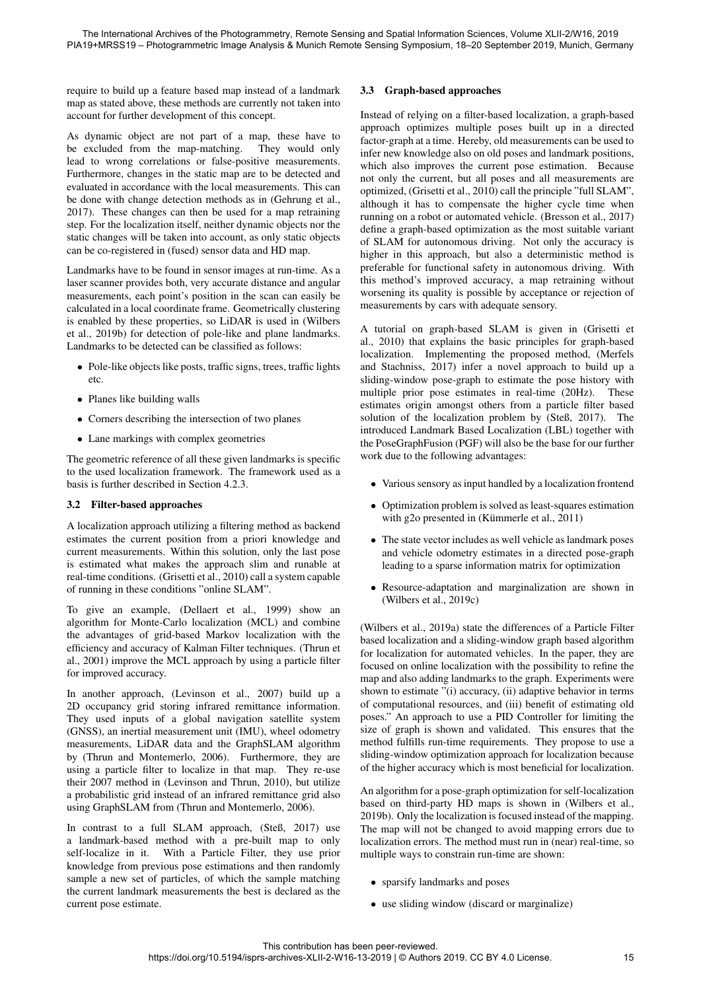require to build up a feature based map instead of a landmark map as stated above, these methods are currently not taken into account for further development of this concept.

As dynamic object are not part of a map, these have to be excluded from the map-matching. They would only lead to wrong correlations or false-positive measurements. Furthermore, changes in the static map are to be detected and evaluated in accordance with the local measurements. This can be done with change detection methods as in (Gehrung et al., 2017). These changes can then be used for a map retraining step. For the localization itself, neither dynamic objects nor the static changes will be taken into account, as only static objects can be co-registered in (fused) sensor data and HD map.

Landmarks have to be found in sensor images at run-time. As a laser scanner provides both, very accurate distance and angular measurements, each point's position in the scan can easily be calculated in a local coordinate frame. Geometrically clustering is enabled by these properties, so LiDAR is used in (Wilbers et al., 2019b) for detection of pole-like and plane landmarks. Landmarks to be detected can be classified as follows:

- Pole-like objects like posts, traffic signs, trees, traffic lights etc.
- Planes like building walls
- Corners describing the intersection of two planes
- Lane markings with complex geometries

The geometric reference of all these given landmarks is specific to the used localization framework. The framework used as a basis is further described in Section 4.2.3.

## 3.2 Filter-based approaches

A localization approach utilizing a filtering method as backend estimates the current position from a priori knowledge and current measurements. Within this solution, only the last pose is estimated what makes the approach slim and runable at real-time conditions. (Grisetti et al., 2010) call a system capable of running in these conditions "online SLAM".

To give an example, (Dellaert et al., 1999) show an algorithm for Monte-Carlo localization (MCL) and combine the advantages of grid-based Markov localization with the efficiency and accuracy of Kalman Filter techniques. (Thrun et al., 2001) improve the MCL approach by using a particle filter for improved accuracy.

In another approach, (Levinson et al., 2007) build up a 2D occupancy grid storing infrared remittance information. They used inputs of a global navigation satellite system (GNSS), an inertial measurement unit (IMU), wheel odometry measurements, LiDAR data and the GraphSLAM algorithm by (Thrun and Montemerlo, 2006). Furthermore, they are using a particle filter to localize in that map. They re-use their 2007 method in (Levinson and Thrun, 2010), but utilize a probabilistic grid instead of an infrared remittance grid also using GraphSLAM from (Thrun and Montemerlo, 2006).

In contrast to a full SLAM approach, (Steß, 2017) use a landmark-based method with a pre-built map to only self-localize in it. With a Particle Filter, they use prior knowledge from previous pose estimations and then randomly sample a new set of particles, of which the sample matching the current landmark measurements the best is declared as the current pose estimate.

## 3.3 Graph-based approaches

Instead of relying on a filter-based localization, a graph-based approach optimizes multiple poses built up in a directed factor-graph at a time. Hereby, old measurements can be used to infer new knowledge also on old poses and landmark positions, which also improves the current pose estimation. Because not only the current, but all poses and all measurements are optimized, (Grisetti et al., 2010) call the principle "full SLAM", although it has to compensate the higher cycle time when running on a robot or automated vehicle. (Bresson et al., 2017) define a graph-based optimization as the most suitable variant of SLAM for autonomous driving. Not only the accuracy is higher in this approach, but also a deterministic method is preferable for functional safety in autonomous driving. With this method's improved accuracy, a map retraining without worsening its quality is possible by acceptance or rejection of measurements by cars with adequate sensory.

A tutorial on graph-based SLAM is given in (Grisetti et al., 2010) that explains the basic principles for graph-based localization. Implementing the proposed method, (Merfels and Stachniss, 2017) infer a novel approach to build up a sliding-window pose-graph to estimate the pose history with multiple prior pose estimates in real-time (20Hz). These estimates origin amongst others from a particle filter based solution of the localization problem by (Steß, 2017). The introduced Landmark Based Localization (LBL) together with the PoseGraphFusion (PGF) will also be the base for our further work due to the following advantages:

- Various sensory as input handled by a localization frontend
- Optimization problem is solved as least-squares estimation with g2o presented in (Kümmerle et al., 2011)
- The state vector includes as well vehicle as landmark poses and vehicle odometry estimates in a directed pose-graph leading to a sparse information matrix for optimization
- Resource-adaptation and marginalization are shown in (Wilbers et al., 2019c)

(Wilbers et al., 2019a) state the differences of a Particle Filter based localization and a sliding-window graph based algorithm for localization for automated vehicles. In the paper, they are focused on online localization with the possibility to refine the map and also adding landmarks to the graph. Experiments were shown to estimate "(i) accuracy, (ii) adaptive behavior in terms of computational resources, and (iii) benefit of estimating old poses." An approach to use a PID Controller for limiting the size of graph is shown and validated. This ensures that the method fulfills run-time requirements. They propose to use a sliding-window optimization approach for localization because of the higher accuracy which is most beneficial for localization.

An algorithm for a pose-graph optimization for self-localization based on third-party HD maps is shown in (Wilbers et al., 2019b). Only the localization is focused instead of the mapping. The map will not be changed to avoid mapping errors due to localization errors. The method must run in (near) real-time, so multiple ways to constrain run-time are shown:

- sparsify landmarks and poses
- use sliding window (discard or marginalize)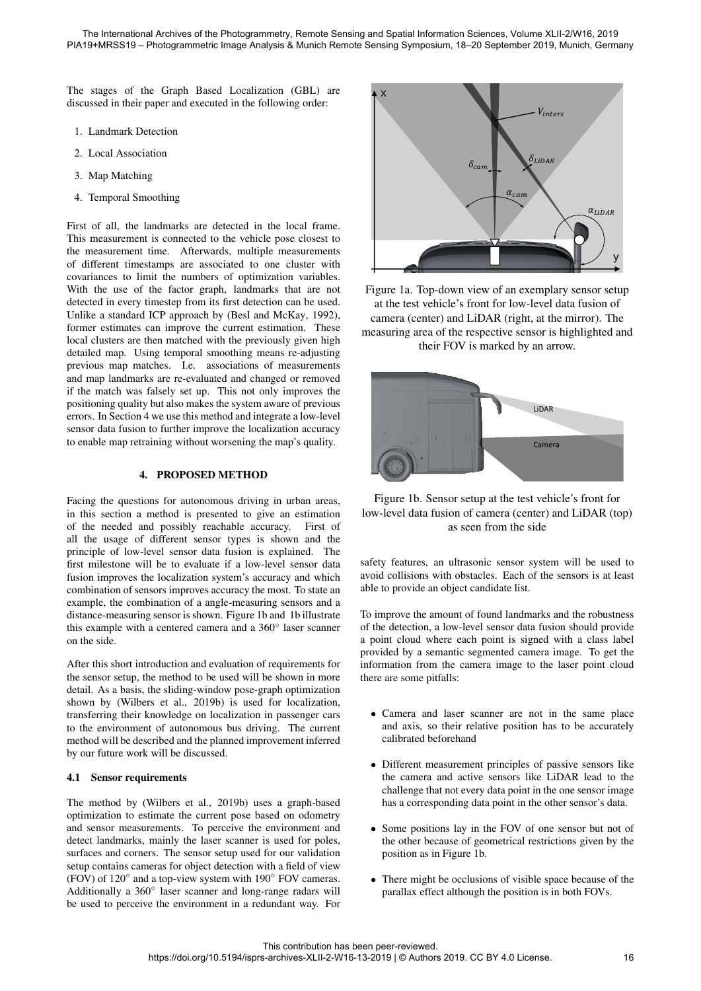The stages of the Graph Based Localization (GBL) are discussed in their paper and executed in the following order:

- 1. Landmark Detection
- 2. Local Association
- 3. Map Matching
- 4. Temporal Smoothing

First of all, the landmarks are detected in the local frame. This measurement is connected to the vehicle pose closest to the measurement time. Afterwards, multiple measurements of different timestamps are associated to one cluster with covariances to limit the numbers of optimization variables. With the use of the factor graph, landmarks that are not detected in every timestep from its first detection can be used. Unlike a standard ICP approach by (Besl and McKay, 1992), former estimates can improve the current estimation. These local clusters are then matched with the previously given high detailed map. Using temporal smoothing means re-adjusting previous map matches. I.e. associations of measurements and map landmarks are re-evaluated and changed or removed if the match was falsely set up. This not only improves the positioning quality but also makes the system aware of previous errors. In Section 4 we use this method and integrate a low-level sensor data fusion to further improve the localization accuracy to enable map retraining without worsening the map's quality.

## 4. PROPOSED METHOD

Facing the questions for autonomous driving in urban areas, in this section a method is presented to give an estimation of the needed and possibly reachable accuracy. First of all the usage of different sensor types is shown and the principle of low-level sensor data fusion is explained. The first milestone will be to evaluate if a low-level sensor data fusion improves the localization system's accuracy and which combination of sensors improves accuracy the most. To state an example, the combination of a angle-measuring sensors and a distance-measuring sensor is shown. Figure 1b and 1b illustrate this example with a centered camera and a 360◦ laser scanner on the side.

After this short introduction and evaluation of requirements for the sensor setup, the method to be used will be shown in more detail. As a basis, the sliding-window pose-graph optimization shown by (Wilbers et al., 2019b) is used for localization, transferring their knowledge on localization in passenger cars to the environment of autonomous bus driving. The current method will be described and the planned improvement inferred by our future work will be discussed.

## 4.1 Sensor requirements

The method by (Wilbers et al., 2019b) uses a graph-based optimization to estimate the current pose based on odometry and sensor measurements. To perceive the environment and detect landmarks, mainly the laser scanner is used for poles, surfaces and corners. The sensor setup used for our validation setup contains cameras for object detection with a field of view (FOV) of 120° and a top-view system with 190° FOV cameras. Additionally a 360° laser scanner and long-range radars will be used to perceive the environment in a redundant way. For



Figure 1a. Top-down view of an exemplary sensor setup at the test vehicle's front for low-level data fusion of camera (center) and LiDAR (right, at the mirror). The measuring area of the respective sensor is highlighted and their FOV is marked by an arrow.



## Figure 1b. Sensor setup at the test vehicle's front for low-level data fusion of camera (center) and LiDAR (top) as seen from the side

safety features, an ultrasonic sensor system will be used to avoid collisions with obstacles. Each of the sensors is at least able to provide an object candidate list.

To improve the amount of found landmarks and the robustness of the detection, a low-level sensor data fusion should provide a point cloud where each point is signed with a class label provided by a semantic segmented camera image. To get the information from the camera image to the laser point cloud there are some pitfalls:

- Camera and laser scanner are not in the same place and axis, so their relative position has to be accurately calibrated beforehand
- Different measurement principles of passive sensors like the camera and active sensors like LiDAR lead to the challenge that not every data point in the one sensor image has a corresponding data point in the other sensor's data.
- Some positions lay in the FOV of one sensor but not of the other because of geometrical restrictions given by the position as in Figure 1b.
- There might be occlusions of visible space because of the parallax effect although the position is in both FOVs.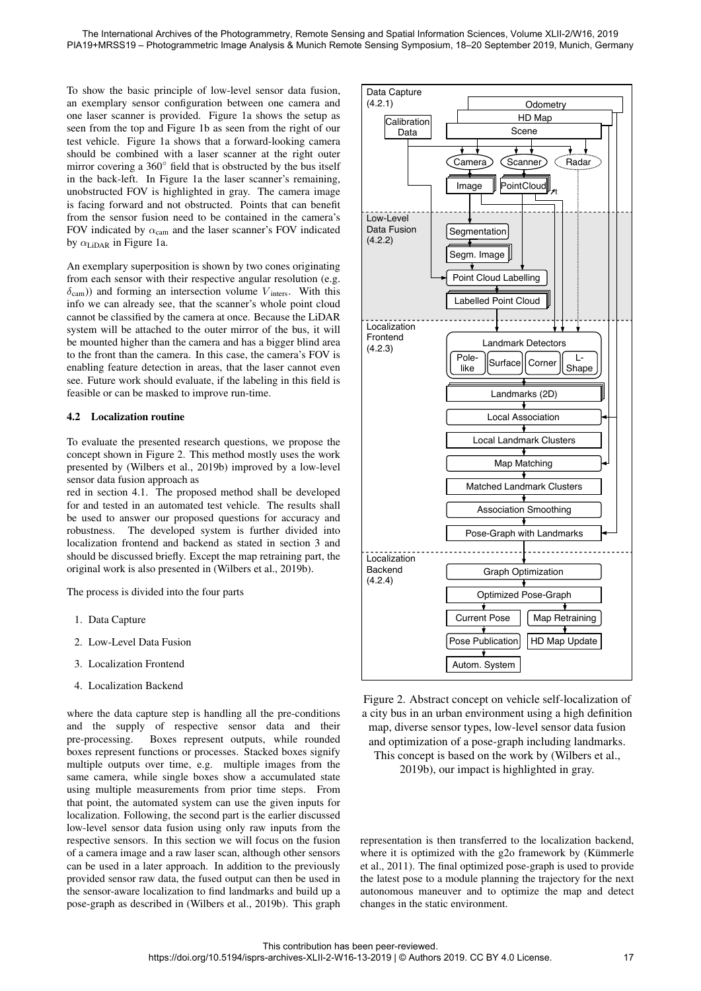To show the basic principle of low-level sensor data fusion, an exemplary sensor configuration between one camera and one laser scanner is provided. Figure 1a shows the setup as seen from the top and Figure 1b as seen from the right of our test vehicle. Figure 1a shows that a forward-looking camera should be combined with a laser scanner at the right outer mirror covering a 360◦ field that is obstructed by the bus itself in the back-left. In Figure 1a the laser scanner's remaining, unobstructed FOV is highlighted in gray. The camera image is facing forward and not obstructed. Points that can benefit from the sensor fusion need to be contained in the camera's FOV indicated by  $\alpha_{\text{cam}}$  and the laser scanner's FOV indicated by  $\alpha_{\text{LipAR}}$  in Figure 1a.

An exemplary superposition is shown by two cones originating from each sensor with their respective angular resolution (e.g.  $\delta$ cam)) and forming an intersection volume  $V<sub>inter</sub>$ . With this info we can already see, that the scanner's whole point cloud cannot be classified by the camera at once. Because the LiDAR system will be attached to the outer mirror of the bus, it will be mounted higher than the camera and has a bigger blind area to the front than the camera. In this case, the camera's FOV is enabling feature detection in areas, that the laser cannot even see. Future work should evaluate, if the labeling in this field is feasible or can be masked to improve run-time.

### 4.2 Localization routine

To evaluate the presented research questions, we propose the concept shown in Figure 2. This method mostly uses the work presented by (Wilbers et al., 2019b) improved by a low-level sensor data fusion approach as

red in section 4.1. The proposed method shall be developed for and tested in an automated test vehicle. The results shall be used to answer our proposed questions for accuracy and robustness. The developed system is further divided into localization frontend and backend as stated in section 3 and should be discussed briefly. Except the map retraining part, the original work is also presented in (Wilbers et al., 2019b).

The process is divided into the four parts

- 1. Data Capture
- 2. Low-Level Data Fusion
- 3. Localization Frontend
- 4. Localization Backend

where the data capture step is handling all the pre-conditions and the supply of respective sensor data and their pre-processing. Boxes represent outputs, while rounded boxes represent functions or processes. Stacked boxes signify multiple outputs over time, e.g. multiple images from the same camera, while single boxes show a accumulated state using multiple measurements from prior time steps. From that point, the automated system can use the given inputs for localization. Following, the second part is the earlier discussed low-level sensor data fusion using only raw inputs from the respective sensors. In this section we will focus on the fusion of a camera image and a raw laser scan, although other sensors can be used in a later approach. In addition to the previously provided sensor raw data, the fused output can then be used in the sensor-aware localization to find landmarks and build up a pose-graph as described in (Wilbers et al., 2019b). This graph



Figure 2. Abstract concept on vehicle self-localization of a city bus in an urban environment using a high definition map, diverse sensor types, low-level sensor data fusion and optimization of a pose-graph including landmarks. This concept is based on the work by (Wilbers et al., 2019b), our impact is highlighted in gray.

representation is then transferred to the localization backend, where it is optimized with the g2o framework by (Kümmerle et al., 2011). The final optimized pose-graph is used to provide the latest pose to a module planning the trajectory for the next autonomous maneuver and to optimize the map and detect changes in the static environment.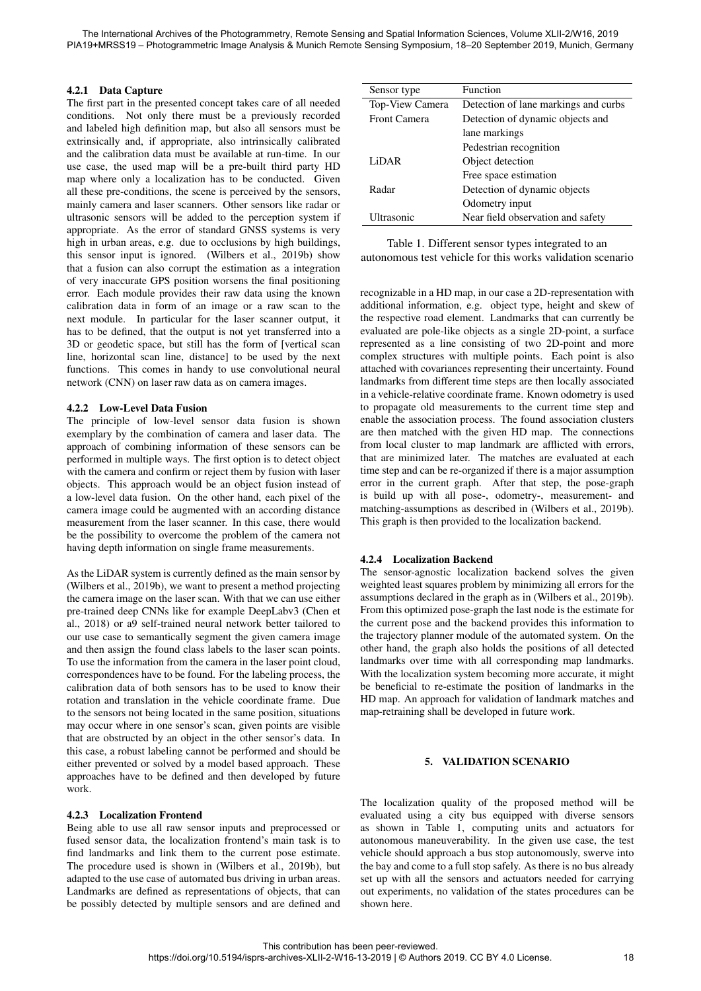## 4.2.1 Data Capture

The first part in the presented concept takes care of all needed conditions. Not only there must be a previously recorded and labeled high definition map, but also all sensors must be extrinsically and, if appropriate, also intrinsically calibrated and the calibration data must be available at run-time. In our use case, the used map will be a pre-built third party HD map where only a localization has to be conducted. Given all these pre-conditions, the scene is perceived by the sensors, mainly camera and laser scanners. Other sensors like radar or ultrasonic sensors will be added to the perception system if appropriate. As the error of standard GNSS systems is very high in urban areas, e.g. due to occlusions by high buildings, this sensor input is ignored. (Wilbers et al., 2019b) show that a fusion can also corrupt the estimation as a integration of very inaccurate GPS position worsens the final positioning error. Each module provides their raw data using the known calibration data in form of an image or a raw scan to the next module. In particular for the laser scanner output, it has to be defined, that the output is not yet transferred into a 3D or geodetic space, but still has the form of [vertical scan line, horizontal scan line, distance] to be used by the next functions. This comes in handy to use convolutional neural network (CNN) on laser raw data as on camera images.

### 4.2.2 Low-Level Data Fusion

The principle of low-level sensor data fusion is shown exemplary by the combination of camera and laser data. The approach of combining information of these sensors can be performed in multiple ways. The first option is to detect object with the camera and confirm or reject them by fusion with laser objects. This approach would be an object fusion instead of a low-level data fusion. On the other hand, each pixel of the camera image could be augmented with an according distance measurement from the laser scanner. In this case, there would be the possibility to overcome the problem of the camera not having depth information on single frame measurements.

As the LiDAR system is currently defined as the main sensor by (Wilbers et al., 2019b), we want to present a method projecting the camera image on the laser scan. With that we can use either pre-trained deep CNNs like for example DeepLabv3 (Chen et al., 2018) or a9 self-trained neural network better tailored to our use case to semantically segment the given camera image and then assign the found class labels to the laser scan points. To use the information from the camera in the laser point cloud, correspondences have to be found. For the labeling process, the calibration data of both sensors has to be used to know their rotation and translation in the vehicle coordinate frame. Due to the sensors not being located in the same position, situations may occur where in one sensor's scan, given points are visible that are obstructed by an object in the other sensor's data. In this case, a robust labeling cannot be performed and should be either prevented or solved by a model based approach. These approaches have to be defined and then developed by future work.

### 4.2.3 Localization Frontend

Being able to use all raw sensor inputs and preprocessed or fused sensor data, the localization frontend's main task is to find landmarks and link them to the current pose estimate. The procedure used is shown in (Wilbers et al., 2019b), but adapted to the use case of automated bus driving in urban areas. Landmarks are defined as representations of objects, that can be possibly detected by multiple sensors and are defined and

| Sensor type         | Function                             |
|---------------------|--------------------------------------|
| Top-View Camera     | Detection of lane markings and curbs |
| <b>Front Camera</b> | Detection of dynamic objects and     |
|                     | lane markings                        |
|                     | Pedestrian recognition               |
| LiDAR               | Object detection                     |
|                     | Free space estimation                |
| Radar               | Detection of dynamic objects         |
|                     | Odometry input                       |
| Ultrasonic          | Near field observation and safety    |

Table 1. Different sensor types integrated to an autonomous test vehicle for this works validation scenario

recognizable in a HD map, in our case a 2D-representation with additional information, e.g. object type, height and skew of the respective road element. Landmarks that can currently be evaluated are pole-like objects as a single 2D-point, a surface represented as a line consisting of two 2D-point and more complex structures with multiple points. Each point is also attached with covariances representing their uncertainty. Found landmarks from different time steps are then locally associated in a vehicle-relative coordinate frame. Known odometry is used to propagate old measurements to the current time step and enable the association process. The found association clusters are then matched with the given HD map. The connections from local cluster to map landmark are afflicted with errors, that are minimized later. The matches are evaluated at each time step and can be re-organized if there is a major assumption error in the current graph. After that step, the pose-graph is build up with all pose-, odometry-, measurement- and matching-assumptions as described in (Wilbers et al., 2019b). This graph is then provided to the localization backend.

### 4.2.4 Localization Backend

The sensor-agnostic localization backend solves the given weighted least squares problem by minimizing all errors for the assumptions declared in the graph as in (Wilbers et al., 2019b). From this optimized pose-graph the last node is the estimate for the current pose and the backend provides this information to the trajectory planner module of the automated system. On the other hand, the graph also holds the positions of all detected landmarks over time with all corresponding map landmarks. With the localization system becoming more accurate, it might be beneficial to re-estimate the position of landmarks in the HD map. An approach for validation of landmark matches and map-retraining shall be developed in future work.

#### 5. VALIDATION SCENARIO

The localization quality of the proposed method will be evaluated using a city bus equipped with diverse sensors as shown in Table 1, computing units and actuators for autonomous maneuverability. In the given use case, the test vehicle should approach a bus stop autonomously, swerve into the bay and come to a full stop safely. As there is no bus already set up with all the sensors and actuators needed for carrying out experiments, no validation of the states procedures can be shown here.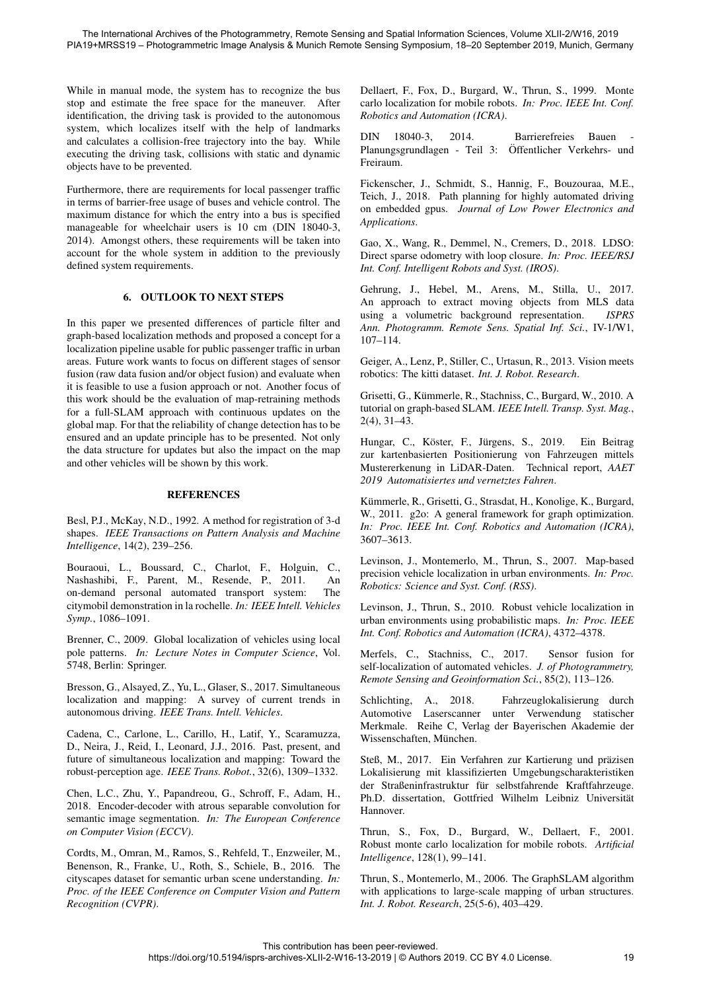While in manual mode, the system has to recognize the bus stop and estimate the free space for the maneuver. After identification, the driving task is provided to the autonomous system, which localizes itself with the help of landmarks and calculates a collision-free trajectory into the bay. While executing the driving task, collisions with static and dynamic objects have to be prevented.

Furthermore, there are requirements for local passenger traffic in terms of barrier-free usage of buses and vehicle control. The maximum distance for which the entry into a bus is specified manageable for wheelchair users is 10 cm (DIN 18040-3, 2014). Amongst others, these requirements will be taken into account for the whole system in addition to the previously defined system requirements.

### 6. OUTLOOK TO NEXT STEPS

In this paper we presented differences of particle filter and graph-based localization methods and proposed a concept for a localization pipeline usable for public passenger traffic in urban areas. Future work wants to focus on different stages of sensor fusion (raw data fusion and/or object fusion) and evaluate when it is feasible to use a fusion approach or not. Another focus of this work should be the evaluation of map-retraining methods for a full-SLAM approach with continuous updates on the global map. For that the reliability of change detection has to be ensured and an update principle has to be presented. Not only the data structure for updates but also the impact on the map and other vehicles will be shown by this work.

### **REFERENCES**

Besl, P.J., McKay, N.D., 1992. A method for registration of 3-d shapes. *IEEE Transactions on Pattern Analysis and Machine Intelligence*, 14(2), 239–256.

Bouraoui, L., Boussard, C., Charlot, F., Holguin, C., Nashashibi, F., Parent, M., Resende, P., 2011. An on-demand personal automated transport system: The citymobil demonstration in la rochelle. *In: IEEE Intell. Vehicles Symp.*, 1086–1091.

Brenner, C., 2009. Global localization of vehicles using local pole patterns. *In: Lecture Notes in Computer Science*, Vol. 5748, Berlin: Springer.

Bresson, G., Alsayed, Z., Yu, L., Glaser, S., 2017. Simultaneous localization and mapping: A survey of current trends in autonomous driving. *IEEE Trans. Intell. Vehicles*.

Cadena, C., Carlone, L., Carillo, H., Latif, Y., Scaramuzza, D., Neira, J., Reid, I., Leonard, J.J., 2016. Past, present, and future of simultaneous localization and mapping: Toward the robust-perception age. *IEEE Trans. Robot.*, 32(6), 1309–1332.

Chen, L.C., Zhu, Y., Papandreou, G., Schroff, F., Adam, H., 2018. Encoder-decoder with atrous separable convolution for semantic image segmentation. *In: The European Conference on Computer Vision (ECCV)*.

Cordts, M., Omran, M., Ramos, S., Rehfeld, T., Enzweiler, M., Benenson, R., Franke, U., Roth, S., Schiele, B., 2016. The cityscapes dataset for semantic urban scene understanding. *In: Proc. of the IEEE Conference on Computer Vision and Pattern Recognition (CVPR)*.

Dellaert, F., Fox, D., Burgard, W., Thrun, S., 1999. Monte carlo localization for mobile robots. *In: Proc. IEEE Int. Conf. Robotics and Automation (ICRA)*.

DIN 18040-3, 2014. Barrierefreies Bauen Planungsgrundlagen - Teil 3: Öffentlicher Verkehrs- und Freiraum.

Fickenscher, J., Schmidt, S., Hannig, F., Bouzouraa, M.E., Teich, J., 2018. Path planning for highly automated driving on embedded gpus. *Journal of Low Power Electronics and Applications*.

Gao, X., Wang, R., Demmel, N., Cremers, D., 2018. LDSO: Direct sparse odometry with loop closure. *In: Proc. IEEE/RSJ Int. Conf. Intelligent Robots and Syst. (IROS)*.

Gehrung, J., Hebel, M., Arens, M., Stilla, U., 2017. An approach to extract moving objects from MLS data using a volumetric background representation. *ISPRS Ann. Photogramm. Remote Sens. Spatial Inf. Sci.*, IV-1/W1, 107–114.

Geiger, A., Lenz, P., Stiller, C., Urtasun, R., 2013. Vision meets robotics: The kitti dataset. *Int. J. Robot. Research*.

Grisetti, G., Kummerle, R., Stachniss, C., Burgard, W., 2010. A ¨ tutorial on graph-based SLAM. *IEEE Intell. Transp. Syst. Mag.*, 2(4), 31–43.

Hungar, C., Köster, F., Jürgens, S., 2019. Ein Beitrag zur kartenbasierten Positionierung von Fahrzeugen mittels Mustererkenung in LiDAR-Daten. Technical report, *AAET 2019 Automatisiertes und vernetztes Fahren*.

Kümmerle, R., Grisetti, G., Strasdat, H., Konolige, K., Burgard, W., 2011. g2o: A general framework for graph optimization. *In: Proc. IEEE Int. Conf. Robotics and Automation (ICRA)*, 3607–3613.

Levinson, J., Montemerlo, M., Thrun, S., 2007. Map-based precision vehicle localization in urban environments. *In: Proc. Robotics: Science and Syst. Conf. (RSS)*.

Levinson, J., Thrun, S., 2010. Robust vehicle localization in urban environments using probabilistic maps. *In: Proc. IEEE Int. Conf. Robotics and Automation (ICRA)*, 4372–4378.

Merfels, C., Stachniss, C., 2017. Sensor fusion for self-localization of automated vehicles. *J. of Photogrammetry, Remote Sensing and Geoinformation Sci.*, 85(2), 113–126.

Schlichting, A., 2018. Fahrzeuglokalisierung durch Automotive Laserscanner unter Verwendung statischer Merkmale. Reihe C, Verlag der Bayerischen Akademie der Wissenschaften, München.

Steß, M., 2017. Ein Verfahren zur Kartierung und präzisen Lokalisierung mit klassifizierten Umgebungscharakteristiken der Straßeninfrastruktur für selbstfahrende Kraftfahrzeuge. Ph.D. dissertation, Gottfried Wilhelm Leibniz Universitat¨ Hannover.

Thrun, S., Fox, D., Burgard, W., Dellaert, F., 2001. Robust monte carlo localization for mobile robots. *Artificial Intelligence*, 128(1), 99–141.

Thrun, S., Montemerlo, M., 2006. The GraphSLAM algorithm with applications to large-scale mapping of urban structures. *Int. J. Robot. Research*, 25(5-6), 403–429.